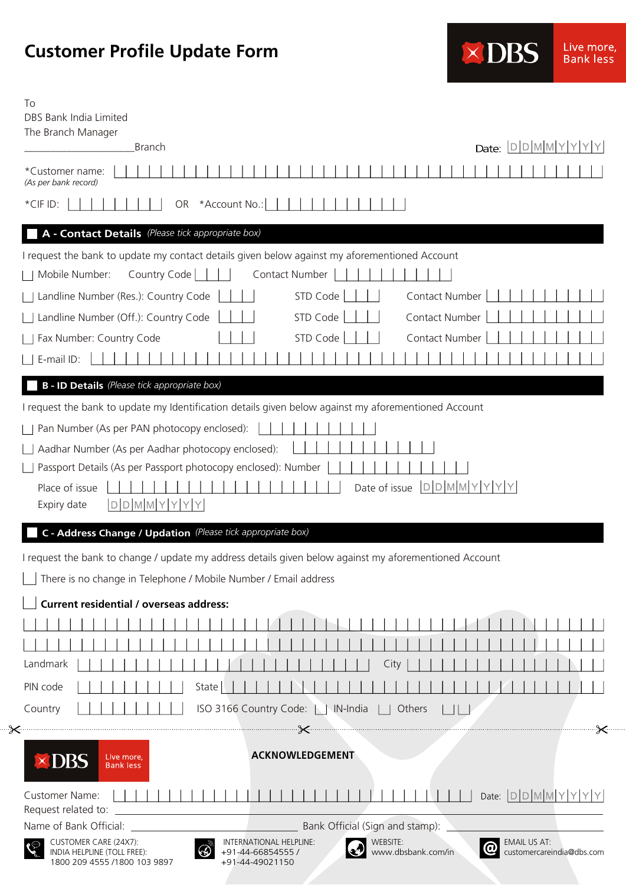## **Customer Profile Update Form**

| <b><dbs< b=""></dbs<></b> | Live more.<br><b>Bank less</b> |
|---------------------------|--------------------------------|
|---------------------------|--------------------------------|

| To<br>DBS Bank India Limited                                                                                                                                                                                                                 |    |
|----------------------------------------------------------------------------------------------------------------------------------------------------------------------------------------------------------------------------------------------|----|
| The Branch Manager                                                                                                                                                                                                                           |    |
| Date: $D D M M Y Y Y $<br><b>Branch</b>                                                                                                                                                                                                      |    |
| *Customer name:<br>(As per bank record)                                                                                                                                                                                                      |    |
| *Account No.:  <br>*CIF ID:<br>OR                                                                                                                                                                                                            |    |
| A - Contact Details (Please tick appropriate box)                                                                                                                                                                                            |    |
| I request the bank to update my contact details given below against my aforementioned Account                                                                                                                                                |    |
| Mobile Number:<br>Country Code<br>Contact Number                                                                                                                                                                                             |    |
| Landline Number (Res.): Country Code<br>STD Code<br>Contact Number                                                                                                                                                                           |    |
| STD Code<br>Contact Number<br>Landline Number (Off.): Country Code                                                                                                                                                                           |    |
| STD Code<br>Contact Number<br>Fax Number: Country Code                                                                                                                                                                                       |    |
| E-mail ID:                                                                                                                                                                                                                                   |    |
| <b>B - ID Details</b> (Please tick appropriate box)                                                                                                                                                                                          |    |
|                                                                                                                                                                                                                                              |    |
| I request the bank to update my Identification details given below against my aforementioned Account                                                                                                                                         |    |
| Pan Number (As per PAN photocopy enclosed):                                                                                                                                                                                                  |    |
| Aadhar Number (As per Aadhar photocopy enclosed):                                                                                                                                                                                            |    |
| Passport Details (As per Passport photocopy enclosed): Number                                                                                                                                                                                |    |
| $D D M M Y Y Y Y$<br>Place of issue<br>Date of issue                                                                                                                                                                                         |    |
| $D$ $D$ $M$ $M$ $Y$ $Y$ $Y$<br>Expiry date                                                                                                                                                                                                   |    |
| C - Address Change / Updation (Please tick appropriate box)                                                                                                                                                                                  |    |
| I request the bank to change / update my address details given below against my aforementioned Account                                                                                                                                       |    |
| There is no change in Telephone / Mobile Number / Email address                                                                                                                                                                              |    |
| <b>Current residential / overseas address:</b>                                                                                                                                                                                               |    |
|                                                                                                                                                                                                                                              |    |
|                                                                                                                                                                                                                                              |    |
| Landmark<br>City                                                                                                                                                                                                                             |    |
| PIN code<br>State                                                                                                                                                                                                                            |    |
| ISO 3166 Country Code:     IN-India     Others<br>Country                                                                                                                                                                                    |    |
|                                                                                                                                                                                                                                              | -≫ |
|                                                                                                                                                                                                                                              |    |
| <b>ACKNOWLEDGEMENT</b><br>$\times$ DBS<br>Live more,<br><b>Bank less</b>                                                                                                                                                                     |    |
| Date: $D D M M Y Y Y Y$<br>Customer Name:                                                                                                                                                                                                    |    |
| Request related to:                                                                                                                                                                                                                          |    |
| Bank Official (Sign and stamp):<br>WEBSITE:                                                                                                                                                                                                  |    |
| CUSTOMER CARE (24X7):<br>INTERNATIONAL HELPLINE:<br>EMAIL US AT:<br>$\circledcirc$<br>www.dbsbank.com/in<br>INDIA HELPLINE (TOLL FREE):<br>+91-44-66854555 /<br>customercareindia@dbs.com<br>1800 209 4555 /1800 103 9897<br>+91-44-49021150 |    |